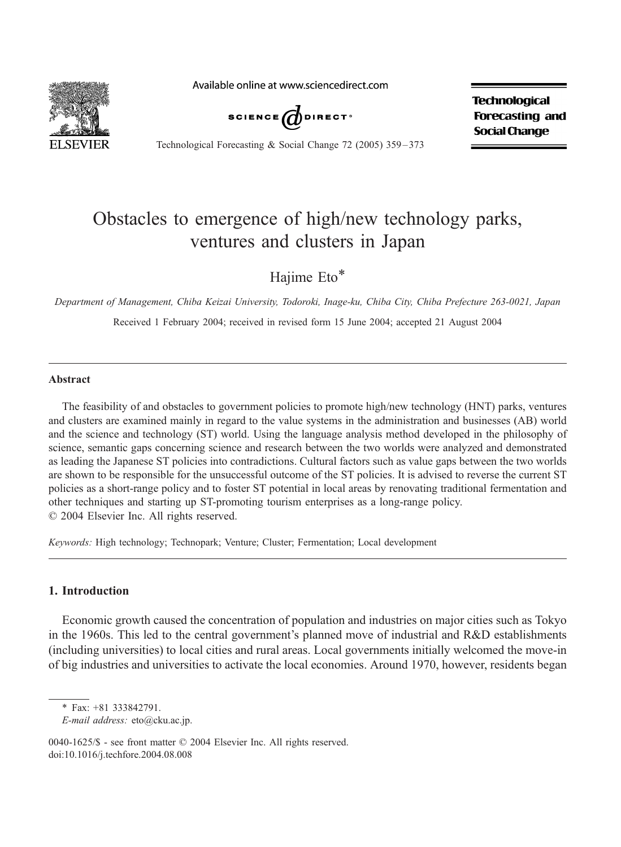

Available online at www.sciencedirect.com



Technological Forecasting & Social Change 72 (2005) 359 – 373

**Technological Forecasting and Social Change** 

# Obstacles to emergence of high/new technology parks, ventures and clusters in Japan

Hajime Eto\*

Department of Management, Chiba Keizai University, Todoroki, Inage-ku, Chiba City, Chiba Prefecture 263-0021, Japan

Received 1 February 2004; received in revised form 15 June 2004; accepted 21 August 2004

#### Abstract

The feasibility of and obstacles to government policies to promote high/new technology (HNT) parks, ventures and clusters are examined mainly in regard to the value systems in the administration and businesses (AB) world and the science and technology (ST) world. Using the language analysis method developed in the philosophy of science, semantic gaps concerning science and research between the two worlds were analyzed and demonstrated as leading the Japanese ST policies into contradictions. Cultural factors such as value gaps between the two worlds are shown to be responsible for the unsuccessful outcome of the ST policies. It is advised to reverse the current ST policies as a short-range policy and to foster ST potential in local areas by renovating traditional fermentation and other techniques and starting up ST-promoting tourism enterprises as a long-range policy.  $© 2004 Elsevier Inc. All rights reserved.$ 

Keywords: High technology; Technopark; Venture; Cluster; Fermentation; Local development

## 1. Introduction

Economic growth caused the concentration of population and industries on major cities such as Tokyo in the 1960s. This led to the central government's planned move of industrial and R&D establishments (including universities) to local cities and rural areas. Local governments initially welcomed the move-in of big industries and universities to activate the local economies. Around 1970, however, residents began

<sup>\*</sup> Fax: +81 333842791.

E-mail address: eto@cku.ac.jp.

<sup>0040-1625/\$ -</sup> see front matter © 2004 Elsevier Inc. All rights reserved. doi:10.1016/j.techfore.2004.08.008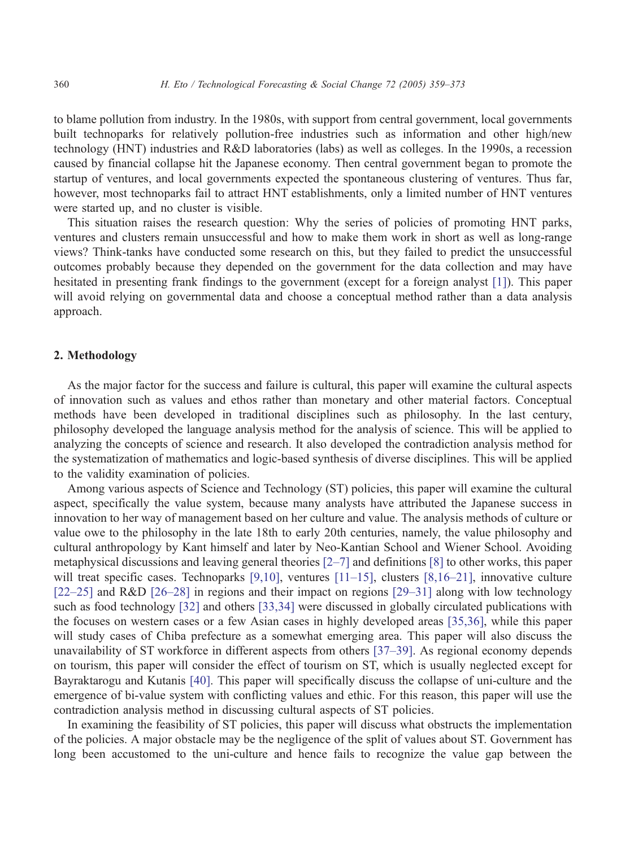to blame pollution from industry. In the 1980s, with support from central government, local governments built technoparks for relatively pollution-free industries such as information and other high/new technology (HNT) industries and R&D laboratories (labs) as well as colleges. In the 1990s, a recession caused by financial collapse hit the Japanese economy. Then central government began to promote the startup of ventures, and local governments expected the spontaneous clustering of ventures. Thus far, however, most technoparks fail to attract HNT establishments, only a limited number of HNT ventures were started up, and no cluster is visible.

This situation raises the research question: Why the series of policies of promoting HNT parks, ventures and clusters remain unsuccessful and how to make them work in short as well as long-range views? Think-tanks have conducted some research on this, but they failed to predict the unsuccessful outcomes probably because they depended on the government for the data collection and may have hesitated in presenting frank findings to the government (except for a foreign analyst [\[1\]\)](#page--1-0). This paper will avoid relying on governmental data and choose a conceptual method rather than a data analysis approach.

### 2. Methodology

As the major factor for the success and failure is cultural, this paper will examine the cultural aspects of innovation such as values and ethos rather than monetary and other material factors. Conceptual methods have been developed in traditional disciplines such as philosophy. In the last century, philosophy developed the language analysis method for the analysis of science. This will be applied to analyzing the concepts of science and research. It also developed the contradiction analysis method for the systematization of mathematics and logic-based synthesis of diverse disciplines. This will be applied to the validity examination of policies.

Among various aspects of Science and Technology (ST) policies, this paper will examine the cultural aspect, specifically the value system, because many analysts have attributed the Japanese success in innovation to her way of management based on her culture and value. The analysis methods of culture or value owe to the philosophy in the late 18th to early 20th centuries, namely, the value philosophy and cultural anthropology by Kant himself and later by Neo-Kantian School and Wiener School. Avoiding metaphysical discussions and leaving general theories [\[2–7\]](#page--1-0) and definitions [\[8\]](#page--1-0) to other works, this paper will treat specific cases. Technoparks [\[9,10\],](#page--1-0) ventures [\[11–15\]](#page--1-0), clusters [\[8,16–21\],](#page--1-0) innovative culture [\[22–25\]](#page--1-0) and R&D [\[26–28\]](#page--1-0) in regions and their impact on regions [\[29–31\]](#page--1-0) along with low technology such as food technology [\[32\]](#page--1-0) and others [\[33,34\]](#page--1-0) were discussed in globally circulated publications with the focuses on western cases or a few Asian cases in highly developed areas [\[35,36\]](#page--1-0), while this paper will study cases of Chiba prefecture as a somewhat emerging area. This paper will also discuss the unavailability of ST workforce in different aspects from others [\[37–39\].](#page--1-0) As regional economy depends on tourism, this paper will consider the effect of tourism on ST, which is usually neglected except for Bayraktarogu and Kutanis [\[40\]](#page--1-0). This paper will specifically discuss the collapse of uni-culture and the emergence of bi-value system with conflicting values and ethic. For this reason, this paper will use the contradiction analysis method in discussing cultural aspects of ST policies.

In examining the feasibility of ST policies, this paper will discuss what obstructs the implementation of the policies. A major obstacle may be the negligence of the split of values about ST. Government has long been accustomed to the uni-culture and hence fails to recognize the value gap between the